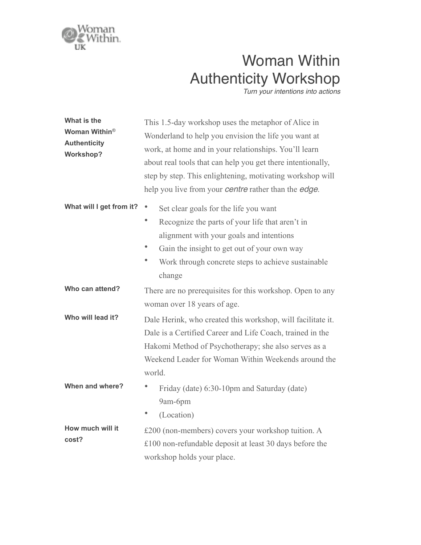

## Woman Within Authenticity Workshop

*Turn your intentions into actions*

| What is the<br>Woman Within <sup>®</sup><br><b>Authenticity</b><br><b>Workshop?</b> | This 1.5-day workshop uses the metaphor of Alice in<br>Wonderland to help you envision the life you want at<br>work, at home and in your relationships. You'll learn<br>about real tools that can help you get there intentionally,<br>step by step. This enlightening, motivating workshop will<br>help you live from your <i>centre</i> rather than the <i>edge</i> . |
|-------------------------------------------------------------------------------------|-------------------------------------------------------------------------------------------------------------------------------------------------------------------------------------------------------------------------------------------------------------------------------------------------------------------------------------------------------------------------|
| What will I get from it?                                                            | $\bullet$<br>Set clear goals for the life you want<br>٠<br>Recognize the parts of your life that aren't in<br>alignment with your goals and intentions<br>Gain the insight to get out of your own way<br>۰<br>Work through concrete steps to achieve sustainable<br>change                                                                                              |
| Who can attend?                                                                     | There are no prerequisites for this workshop. Open to any<br>woman over 18 years of age.                                                                                                                                                                                                                                                                                |
| Who will lead it?                                                                   | Dale Herink, who created this workshop, will facilitate it.<br>Dale is a Certified Career and Life Coach, trained in the<br>Hakomi Method of Psychotherapy; she also serves as a<br>Weekend Leader for Woman Within Weekends around the<br>world.                                                                                                                       |
| When and where?                                                                     | $\bullet$<br>Friday (date) 6:30-10pm and Saturday (date)<br>9am-6pm<br>(Location)                                                                                                                                                                                                                                                                                       |
| How much will it<br>cost?                                                           | £200 (non-members) covers your workshop tuition. A<br>£100 non-refundable deposit at least 30 days before the<br>workshop holds your place.                                                                                                                                                                                                                             |